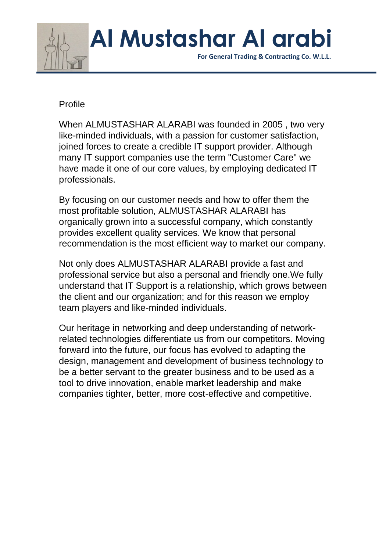

 **For General Trading & Contracting Co. W.L.L.**

#### Profile

When ALMUSTASHAR ALARABI was founded in 2005 , two very like-minded individuals, with a passion for customer satisfaction, joined forces to create a credible IT support provider. Although many IT support companies use the term "Customer Care" we have made it one of our core values, by employing dedicated IT professionals.

By focusing on our customer needs and how to offer them the most profitable solution, ALMUSTASHAR ALARABI has organically grown into a successful company, which constantly provides excellent quality services. We know that personal recommendation is the most efficient way to market our company.

Not only does ALMUSTASHAR ALARABI provide a fast and professional service but also a personal and friendly one.We fully understand that IT Support is a relationship, which grows between the client and our organization; and for this reason we employ team players and like-minded individuals.

Our heritage in networking and deep understanding of networkrelated technologies differentiate us from our competitors. Moving forward into the future, our focus has evolved to adapting the design, management and development of business technology to be a better servant to the greater business and to be used as a tool to drive innovation, enable market leadership and make companies tighter, better, more cost-effective and competitive.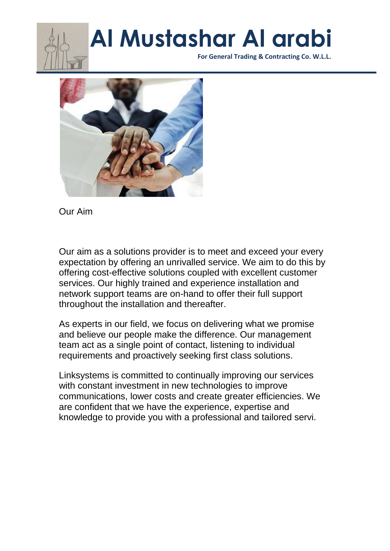

 **For General Trading & Contracting Co. W.L.L.**



Our Aim

Our aim as a solutions provider is to meet and exceed your every expectation by offering an unrivalled service. We aim to do this by offering cost-effective solutions coupled with excellent customer services. Our highly trained and experience installation and network support teams are on-hand to offer their full support throughout the installation and thereafter.

As experts in our field, we focus on delivering what we promise and believe our people make the difference. Our management team act as a single point of contact, listening to individual requirements and proactively seeking first class solutions.

Linksystems is committed to continually improving our services with constant investment in new technologies to improve communications, lower costs and create greater efficiencies. We are confident that we have the experience, expertise and knowledge to provide you with a professional and tailored servi.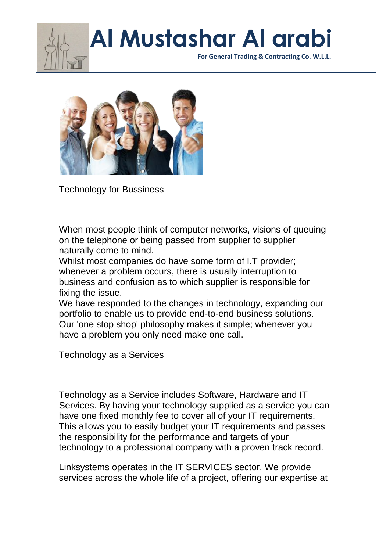

 **For General Trading & Contracting Co. W.L.L.**



Technology for Bussiness

When most people think of computer networks, visions of queuing on the telephone or being passed from supplier to supplier naturally come to mind.

Whilst most companies do have some form of I.T provider; whenever a problem occurs, there is usually interruption to business and confusion as to which supplier is responsible for fixing the issue.

We have responded to the changes in technology, expanding our portfolio to enable us to provide end-to-end business solutions. Our 'one stop shop' philosophy makes it simple; whenever you have a problem you only need make one call.

Technology as a Services

Technology as a Service includes Software, Hardware and IT Services. By having your technology supplied as a service you can have one fixed monthly fee to cover all of your IT requirements. This allows you to easily budget your IT requirements and passes the responsibility for the performance and targets of your technology to a professional company with a proven track record.

Linksystems operates in the IT SERVICES sector. We provide services across the whole life of a project, offering our expertise at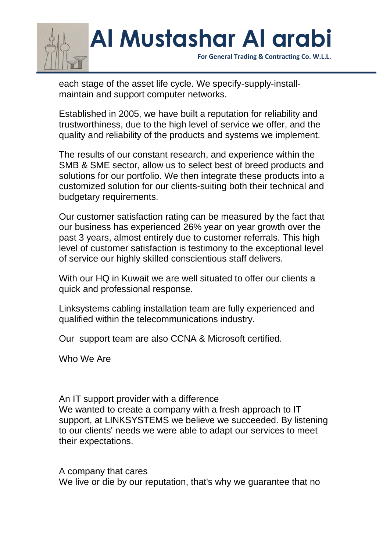

 **For General Trading & Contracting Co. W.L.L.**

each stage of the asset life cycle. We specify-supply-installmaintain and support computer networks.

Established in 2005, we have built a reputation for reliability and trustworthiness, due to the high level of service we offer, and the quality and reliability of the products and systems we implement.

The results of our constant research, and experience within the SMB & SME sector, allow us to select best of breed products and solutions for our portfolio. We then integrate these products into a customized solution for our clients-suiting both their technical and budgetary requirements.

Our customer satisfaction rating can be measured by the fact that our business has experienced 26% year on year growth over the past 3 years, almost entirely due to customer referrals. This high level of customer satisfaction is testimony to the exceptional level of service our highly skilled conscientious staff delivers.

With our HQ in Kuwait we are well situated to offer our clients a quick and professional response.

Linksystems cabling installation team are fully experienced and qualified within the telecommunications industry.

Our support team are also CCNA & Microsoft certified.

Who We Are

An IT support provider with a difference We wanted to create a company with a fresh approach to IT support, at LINKSYSTEMS we believe we succeeded. By listening to our clients' needs we were able to adapt our services to meet their expectations.

A company that cares We live or die by our reputation, that's why we guarantee that no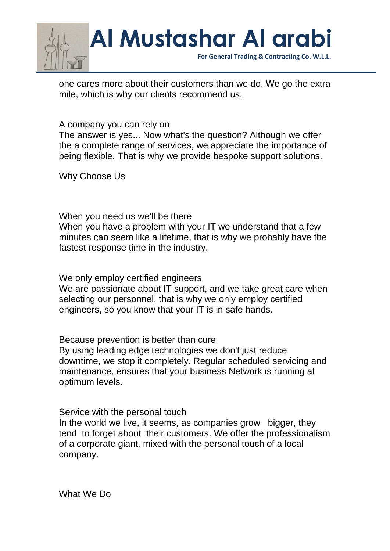

one cares more about their customers than we do. We go the extra mile, which is why our clients recommend us.

A company you can rely on

The answer is yes... Now what's the question? Although we offer the a complete range of services, we appreciate the importance of being flexible. That is why we provide bespoke support solutions.

Why Choose Us

When you need us we'll be there When you have a problem with your IT we understand that a few minutes can seem like a lifetime, that is why we probably have the fastest response time in the industry.

We only employ certified engineers

We are passionate about IT support, and we take great care when selecting our personnel, that is why we only employ certified engineers, so you know that your IT is in safe hands.

Because prevention is better than cure

By using leading edge technologies we don't just reduce downtime, we stop it completely. Regular scheduled servicing and maintenance, ensures that your business Network is running at optimum levels.

Service with the personal touch

In the world we live, it seems, as companies grow bigger, they tend to forget about their customers. We offer the professionalism of a corporate giant, mixed with the personal touch of a local company.

What We Do